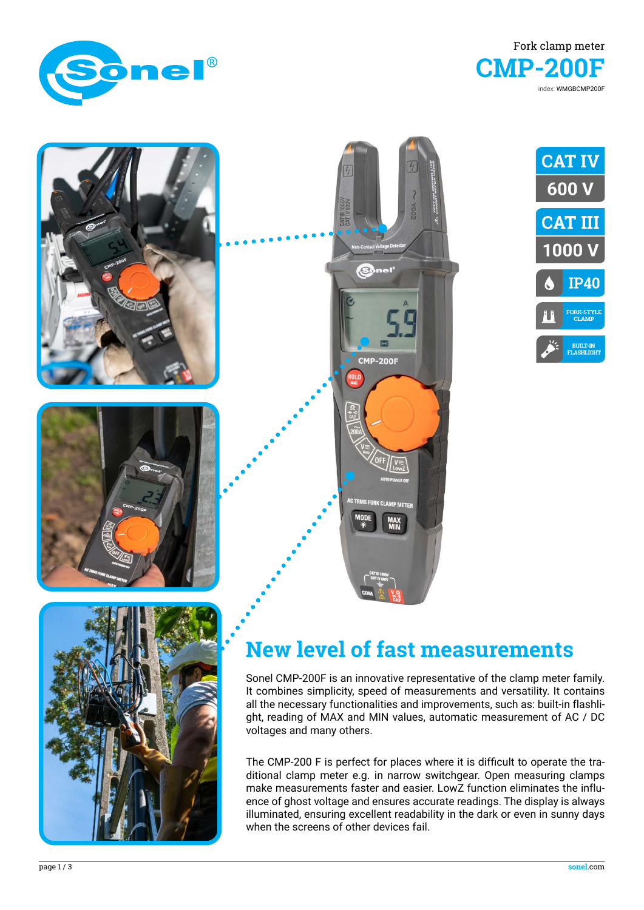













## **New level of fast measurements**

Sonel CMP-200F is an innovative representative of the clamp meter family. It combines simplicity, speed of measurements and versatility. It contains all the necessary functionalities and improvements, such as: built-in flashlight, reading of MAX and MIN values, automatic measurement of AC / DC voltages and many others.

The CMP-200 F is perfect for places where it is difficult to operate the traditional clamp meter e.g. in narrow switchgear. Open measuring clamps make measurements faster and easier. LowZ function eliminates the influence of ghost voltage and ensures accurate readings. The display is always illuminated, ensuring excellent readability in the dark or even in sunny days when the screens of other devices fail.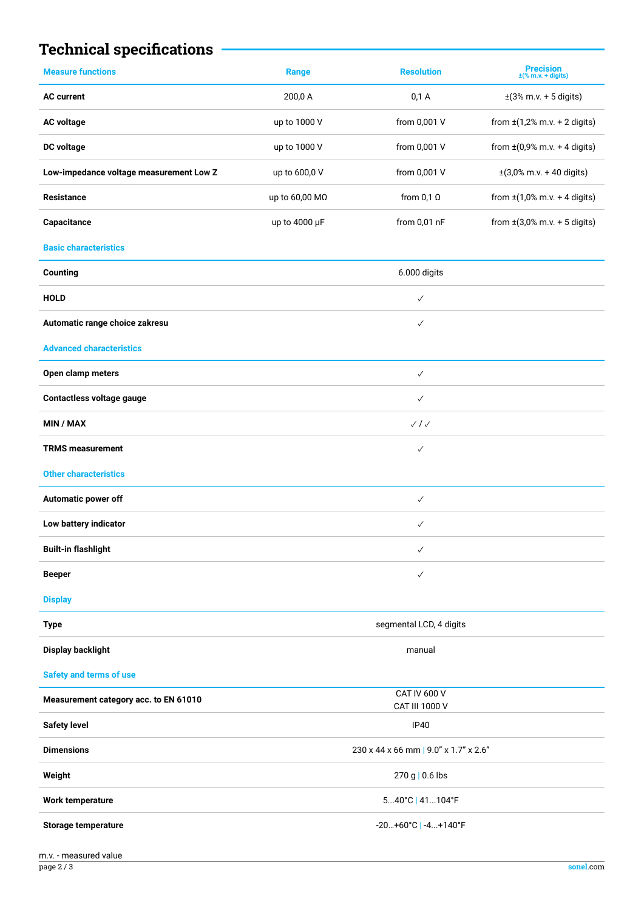## **Technical specifications**

| 200,0 A<br>0,1 A<br>$\pm(3\% \text{ m.v.} + 5 \text{ digits})$<br><b>AC current</b><br>from 0,001 V<br><b>AC voltage</b><br>up to 1000 V<br>from $\pm(1,2\% \text{ m.v.} + 2 \text{ digits})$<br>from 0,001 V<br>from $\pm (0.9\% \text{ m.v.} + 4 \text{ digits})$<br>DC voltage<br>up to 1000 V<br>Low-impedance voltage measurement Low Z<br>from 0,001 V<br>$\pm(3,0\% \text{ m.v.} + 40 \text{ digits})$<br>up to 600,0 V<br>from $\pm(1,0\% \text{ m.v.} + 4 \text{ digits})$<br>up to 60,00 MΩ<br>from $0,1$ $\Omega$<br><b>Resistance</b><br>from 0,01 nF<br>Capacitance<br>up to 4000 µF<br>from $\pm(3,0\% \text{ m.v.} + 5 \text{ digits})$<br><b>Basic characteristics</b><br>6.000 digits<br>Counting<br><b>HOLD</b><br>$\checkmark$<br>Automatic range choice zakresu<br>$\checkmark$<br><b>Advanced characteristics</b><br>Open clamp meters<br>$\checkmark$<br>Contactless voltage gauge<br>$\checkmark$<br><b>MIN / MAX</b><br>$\sqrt{}/\sqrt{}$<br><b>TRMS measurement</b><br>$\checkmark$<br><b>Other characteristics</b><br>Automatic power off<br>$\checkmark$<br>Low battery indicator<br>$\checkmark$<br><b>Built-in flashlight</b><br>$\checkmark$<br><b>Beeper</b><br>$\checkmark$<br><b>Display</b><br>segmental LCD, 4 digits<br><b>Type</b><br><b>Display backlight</b><br>manual<br><b>Safety and terms of use</b><br><b>CAT IV 600 V</b><br>Measurement category acc. to EN 61010<br>CAT III 1000 V<br><b>Safety level</b><br><b>IP40</b><br>230 x 44 x 66 mm   9.0" x 1.7" x 2.6"<br><b>Dimensions</b><br>Weight<br>270 g   0.6 lbs<br>540°C   41104°F<br><b>Work temperature</b> | <b>Measure functions</b> | Range | <b>Resolution</b>     | <b>Precision</b><br>$\pm$ (% m.v. + digits) |  |
|------------------------------------------------------------------------------------------------------------------------------------------------------------------------------------------------------------------------------------------------------------------------------------------------------------------------------------------------------------------------------------------------------------------------------------------------------------------------------------------------------------------------------------------------------------------------------------------------------------------------------------------------------------------------------------------------------------------------------------------------------------------------------------------------------------------------------------------------------------------------------------------------------------------------------------------------------------------------------------------------------------------------------------------------------------------------------------------------------------------------------------------------------------------------------------------------------------------------------------------------------------------------------------------------------------------------------------------------------------------------------------------------------------------------------------------------------------------------------------------------------------------------------------------------------------------------------------------------------------------|--------------------------|-------|-----------------------|---------------------------------------------|--|
|                                                                                                                                                                                                                                                                                                                                                                                                                                                                                                                                                                                                                                                                                                                                                                                                                                                                                                                                                                                                                                                                                                                                                                                                                                                                                                                                                                                                                                                                                                                                                                                                                  |                          |       |                       |                                             |  |
|                                                                                                                                                                                                                                                                                                                                                                                                                                                                                                                                                                                                                                                                                                                                                                                                                                                                                                                                                                                                                                                                                                                                                                                                                                                                                                                                                                                                                                                                                                                                                                                                                  |                          |       |                       |                                             |  |
|                                                                                                                                                                                                                                                                                                                                                                                                                                                                                                                                                                                                                                                                                                                                                                                                                                                                                                                                                                                                                                                                                                                                                                                                                                                                                                                                                                                                                                                                                                                                                                                                                  |                          |       |                       |                                             |  |
|                                                                                                                                                                                                                                                                                                                                                                                                                                                                                                                                                                                                                                                                                                                                                                                                                                                                                                                                                                                                                                                                                                                                                                                                                                                                                                                                                                                                                                                                                                                                                                                                                  |                          |       |                       |                                             |  |
|                                                                                                                                                                                                                                                                                                                                                                                                                                                                                                                                                                                                                                                                                                                                                                                                                                                                                                                                                                                                                                                                                                                                                                                                                                                                                                                                                                                                                                                                                                                                                                                                                  |                          |       |                       |                                             |  |
|                                                                                                                                                                                                                                                                                                                                                                                                                                                                                                                                                                                                                                                                                                                                                                                                                                                                                                                                                                                                                                                                                                                                                                                                                                                                                                                                                                                                                                                                                                                                                                                                                  |                          |       |                       |                                             |  |
|                                                                                                                                                                                                                                                                                                                                                                                                                                                                                                                                                                                                                                                                                                                                                                                                                                                                                                                                                                                                                                                                                                                                                                                                                                                                                                                                                                                                                                                                                                                                                                                                                  |                          |       |                       |                                             |  |
|                                                                                                                                                                                                                                                                                                                                                                                                                                                                                                                                                                                                                                                                                                                                                                                                                                                                                                                                                                                                                                                                                                                                                                                                                                                                                                                                                                                                                                                                                                                                                                                                                  |                          |       |                       |                                             |  |
|                                                                                                                                                                                                                                                                                                                                                                                                                                                                                                                                                                                                                                                                                                                                                                                                                                                                                                                                                                                                                                                                                                                                                                                                                                                                                                                                                                                                                                                                                                                                                                                                                  |                          |       |                       |                                             |  |
|                                                                                                                                                                                                                                                                                                                                                                                                                                                                                                                                                                                                                                                                                                                                                                                                                                                                                                                                                                                                                                                                                                                                                                                                                                                                                                                                                                                                                                                                                                                                                                                                                  |                          |       |                       |                                             |  |
|                                                                                                                                                                                                                                                                                                                                                                                                                                                                                                                                                                                                                                                                                                                                                                                                                                                                                                                                                                                                                                                                                                                                                                                                                                                                                                                                                                                                                                                                                                                                                                                                                  |                          |       |                       |                                             |  |
|                                                                                                                                                                                                                                                                                                                                                                                                                                                                                                                                                                                                                                                                                                                                                                                                                                                                                                                                                                                                                                                                                                                                                                                                                                                                                                                                                                                                                                                                                                                                                                                                                  |                          |       |                       |                                             |  |
|                                                                                                                                                                                                                                                                                                                                                                                                                                                                                                                                                                                                                                                                                                                                                                                                                                                                                                                                                                                                                                                                                                                                                                                                                                                                                                                                                                                                                                                                                                                                                                                                                  |                          |       |                       |                                             |  |
|                                                                                                                                                                                                                                                                                                                                                                                                                                                                                                                                                                                                                                                                                                                                                                                                                                                                                                                                                                                                                                                                                                                                                                                                                                                                                                                                                                                                                                                                                                                                                                                                                  |                          |       |                       |                                             |  |
|                                                                                                                                                                                                                                                                                                                                                                                                                                                                                                                                                                                                                                                                                                                                                                                                                                                                                                                                                                                                                                                                                                                                                                                                                                                                                                                                                                                                                                                                                                                                                                                                                  |                          |       |                       |                                             |  |
|                                                                                                                                                                                                                                                                                                                                                                                                                                                                                                                                                                                                                                                                                                                                                                                                                                                                                                                                                                                                                                                                                                                                                                                                                                                                                                                                                                                                                                                                                                                                                                                                                  |                          |       |                       |                                             |  |
|                                                                                                                                                                                                                                                                                                                                                                                                                                                                                                                                                                                                                                                                                                                                                                                                                                                                                                                                                                                                                                                                                                                                                                                                                                                                                                                                                                                                                                                                                                                                                                                                                  |                          |       |                       |                                             |  |
|                                                                                                                                                                                                                                                                                                                                                                                                                                                                                                                                                                                                                                                                                                                                                                                                                                                                                                                                                                                                                                                                                                                                                                                                                                                                                                                                                                                                                                                                                                                                                                                                                  |                          |       |                       |                                             |  |
|                                                                                                                                                                                                                                                                                                                                                                                                                                                                                                                                                                                                                                                                                                                                                                                                                                                                                                                                                                                                                                                                                                                                                                                                                                                                                                                                                                                                                                                                                                                                                                                                                  |                          |       |                       |                                             |  |
|                                                                                                                                                                                                                                                                                                                                                                                                                                                                                                                                                                                                                                                                                                                                                                                                                                                                                                                                                                                                                                                                                                                                                                                                                                                                                                                                                                                                                                                                                                                                                                                                                  |                          |       |                       |                                             |  |
|                                                                                                                                                                                                                                                                                                                                                                                                                                                                                                                                                                                                                                                                                                                                                                                                                                                                                                                                                                                                                                                                                                                                                                                                                                                                                                                                                                                                                                                                                                                                                                                                                  |                          |       |                       |                                             |  |
|                                                                                                                                                                                                                                                                                                                                                                                                                                                                                                                                                                                                                                                                                                                                                                                                                                                                                                                                                                                                                                                                                                                                                                                                                                                                                                                                                                                                                                                                                                                                                                                                                  |                          |       |                       |                                             |  |
|                                                                                                                                                                                                                                                                                                                                                                                                                                                                                                                                                                                                                                                                                                                                                                                                                                                                                                                                                                                                                                                                                                                                                                                                                                                                                                                                                                                                                                                                                                                                                                                                                  |                          |       |                       |                                             |  |
|                                                                                                                                                                                                                                                                                                                                                                                                                                                                                                                                                                                                                                                                                                                                                                                                                                                                                                                                                                                                                                                                                                                                                                                                                                                                                                                                                                                                                                                                                                                                                                                                                  |                          |       |                       |                                             |  |
|                                                                                                                                                                                                                                                                                                                                                                                                                                                                                                                                                                                                                                                                                                                                                                                                                                                                                                                                                                                                                                                                                                                                                                                                                                                                                                                                                                                                                                                                                                                                                                                                                  |                          |       |                       |                                             |  |
|                                                                                                                                                                                                                                                                                                                                                                                                                                                                                                                                                                                                                                                                                                                                                                                                                                                                                                                                                                                                                                                                                                                                                                                                                                                                                                                                                                                                                                                                                                                                                                                                                  |                          |       |                       |                                             |  |
|                                                                                                                                                                                                                                                                                                                                                                                                                                                                                                                                                                                                                                                                                                                                                                                                                                                                                                                                                                                                                                                                                                                                                                                                                                                                                                                                                                                                                                                                                                                                                                                                                  |                          |       |                       |                                             |  |
|                                                                                                                                                                                                                                                                                                                                                                                                                                                                                                                                                                                                                                                                                                                                                                                                                                                                                                                                                                                                                                                                                                                                                                                                                                                                                                                                                                                                                                                                                                                                                                                                                  |                          |       |                       |                                             |  |
|                                                                                                                                                                                                                                                                                                                                                                                                                                                                                                                                                                                                                                                                                                                                                                                                                                                                                                                                                                                                                                                                                                                                                                                                                                                                                                                                                                                                                                                                                                                                                                                                                  |                          |       |                       |                                             |  |
|                                                                                                                                                                                                                                                                                                                                                                                                                                                                                                                                                                                                                                                                                                                                                                                                                                                                                                                                                                                                                                                                                                                                                                                                                                                                                                                                                                                                                                                                                                                                                                                                                  | Storage temperature      |       | $-20+60°C$ $-4+140°C$ |                                             |  |